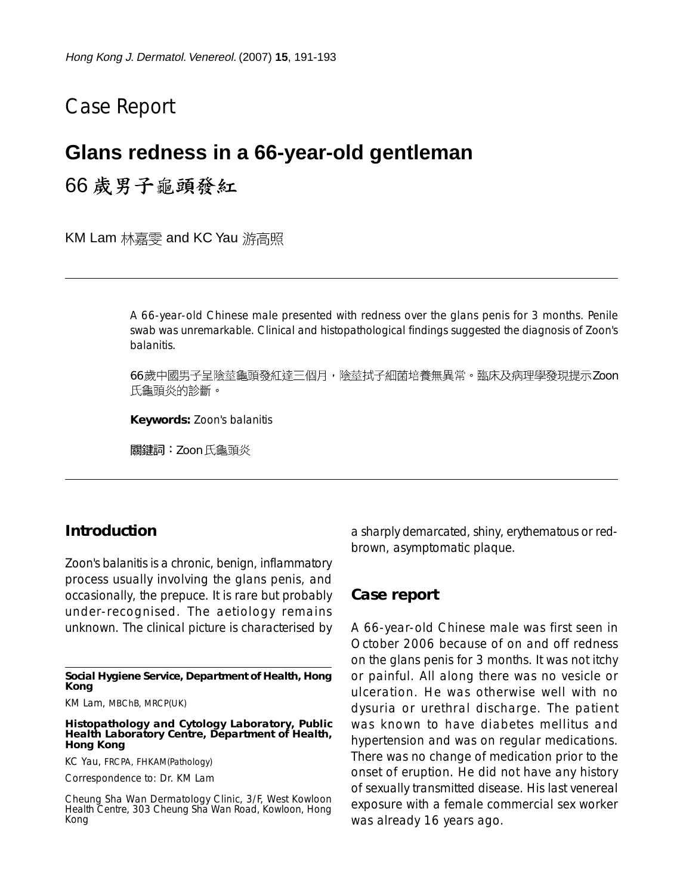# Case Report

### **Glans redness in a 66-year-old gentleman**

## 66 歲男子龜頭發紅

KM Lam 林嘉雯 and KC Yau 游高照

A 66-year-old Chinese male presented with redness over the glans penis for 3 months. Penile swab was unremarkable. Clinical and histopathological findings suggested the diagnosis of Zoon's balanitis.

66歲中國男子呈陰莖龜頭發紅達三個月,陰莖拭子細菌培養無異常。臨床及病理學發現提示Zoon 氏龜頭炎的診斷。

**Keywords:** Zoon's balanitis

關鍵詞:Zoon 氏龜頭炎

#### **Introduction**

Zoon's balanitis is a chronic, benign, inflammatory process usually involving the glans penis, and occasionally, the prepuce. It is rare but probably under-recognised. The aetiology remains unknown. The clinical picture is characterised by

KM Lam, MBChB, MRCP(UK)

**Histopathology and Cytology Laboratory, Public Health Laboratory Centre, Department of Health, Hong Kong**

KC Yau, FRCPA, FHKAM(Pathology)

Correspondence to: Dr. KM Lam

Cheung Sha Wan Dermatology Clinic, 3/F, West Kowloon Health Centre, 303 Cheung Sha Wan Road, Kowloon, Hong Kong

a sharply demarcated, shiny, erythematous or redbrown, asymptomatic plaque.

#### **Case report**

A 66-year-old Chinese male was first seen in October 2006 because of on and off redness on the glans penis for 3 months. It was not itchy or painful. All along there was no vesicle or ulceration. He was otherwise well with no dysuria or urethral discharge. The patient was known to have diabetes mellitus and hypertension and was on regular medications. There was no change of medication prior to the onset of eruption. He did not have any history of sexually transmitted disease. His last venereal exposure with a female commercial sex worker was already 16 years ago.

**Social Hygiene Service, Department of Health, Hong Kong**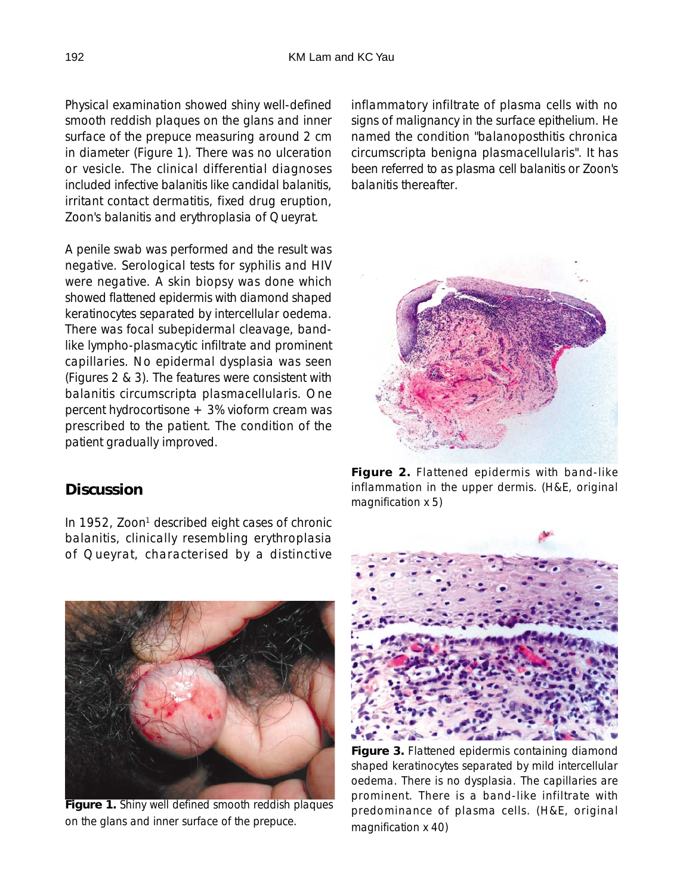Physical examination showed shiny well-defined smooth reddish plaques on the glans and inner surface of the prepuce measuring around 2 cm in diameter (Figure 1). There was no ulceration or vesicle. The clinical differential diagnoses included infective balanitis like candidal balanitis, irritant contact dermatitis, fixed drug eruption, Zoon's balanitis and erythroplasia of Queyrat.

A penile swab was performed and the result was negative. Serological tests for syphilis and HIV were negative. A skin biopsy was done which showed flattened epidermis with diamond shaped keratinocytes separated by intercellular oedema. There was focal subepidermal cleavage, bandlike lympho-plasmacytic infiltrate and prominent capillaries. No epidermal dysplasia was seen (Figures 2 & 3). The features were consistent with balanitis circumscripta plasmacellularis. One percent hydrocortisone + 3% vioform cream was prescribed to the patient. The condition of the patient gradually improved.

### **Discussion**

In 1952, Zoon<sup>1</sup> described eight cases of chronic balanitis, clinically resembling erythroplasia of Queyrat, characterised by a distinctive

**Figure 1.** Shiny well defined smooth reddish plaques on the glans and inner surface of the prepuce.

inflammatory infiltrate of plasma cells with no signs of malignancy in the surface epithelium. He named the condition "balanoposthitis chronica circumscripta benigna plasmacellularis". It has been referred to as plasma cell balanitis or Zoon's balanitis thereafter.



**Figure 2.** Flattened epidermis with band-like inflammation in the upper dermis. (H&E, original magnification x 5)



**Figure 3.** Flattened epidermis containing diamond shaped keratinocytes separated by mild intercellular oedema. There is no dysplasia. The capillaries are prominent. There is a band-like infiltrate with predominance of plasma cells. (H&E, original magnification x 40)